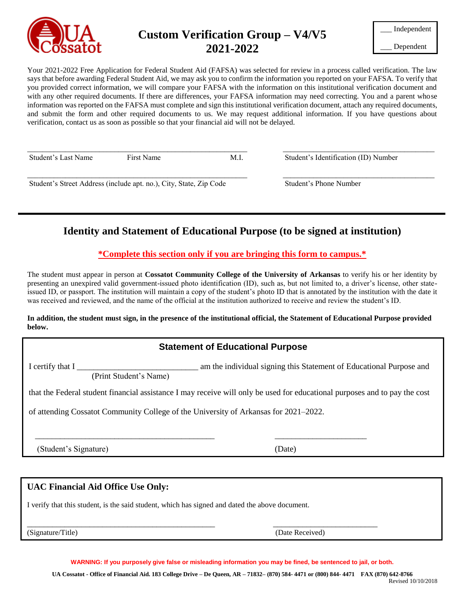

# **Custom Verification Group – V4/V5 2021-2022**

| Independent |
|-------------|
|-------------|

\_\_\_ Dependent

Your 2021-2022 Free Application for Federal Student Aid (FAFSA) was selected for review in a process called verification. The law says that before awarding Federal Student Aid, we may ask you to confirm the information you reported on your FAFSA. To verify that you provided correct information, we will compare your FAFSA with the information on this institutional verification document and with any other required documents. If there are differences, your FAFSA information may need correcting. You and a parent whose information was reported on the FAFSA must complete and sign this institutional verification document, attach any required documents, and submit the form and other required documents to us. We may request additional information. If you have questions about verification, contact us as soon as possible so that your financial aid will not be delayed.

\_\_\_\_\_\_\_\_\_\_\_\_\_\_\_\_\_\_\_\_\_\_\_\_\_\_\_\_\_\_\_\_\_\_\_\_\_\_\_\_\_\_\_\_\_\_\_\_\_\_\_\_\_\_\_\_\_\_ \_\_\_\_\_\_\_\_\_\_\_\_\_\_\_\_\_\_\_\_\_\_\_\_\_\_\_\_\_\_\_\_\_\_\_\_\_\_\_\_

\_\_\_\_\_\_\_\_\_\_\_\_\_\_\_\_\_\_\_\_\_\_\_\_\_\_\_\_\_\_\_\_\_\_\_\_\_\_\_\_\_\_\_\_\_\_\_\_\_\_\_\_\_\_\_\_\_\_ \_\_\_\_\_\_\_\_\_\_\_\_\_\_\_\_\_\_\_\_\_\_\_\_\_\_\_\_\_\_\_\_\_\_\_\_\_\_\_\_

Student's Last Name First Name First Name M.I. Student's Identification (ID) Number

Student's Street Address (include apt. no.), City, State, Zip Code Student's Phone Number

# **Identity and Statement of Educational Purpose (to be signed at institution)**

**\*Complete this section only if you are bringing this form to campus.\***

The student must appear in person at **Cossatot Community College of the University of Arkansas** to verify his or her identity by presenting an unexpired valid government-issued photo identification (ID), such as, but not limited to, a driver's license, other stateissued ID, or passport. The institution will maintain a copy of the student's photo ID that is annotated by the institution with the date it was received and reviewed, and the name of the official at the institution authorized to receive and review the student's ID.

#### **In addition, the student must sign, in the presence of the institutional official, the Statement of Educational Purpose provided below.**

## **Statement of Educational Purpose**

I certify that I \_\_\_\_\_\_\_\_\_\_\_\_\_\_\_\_\_\_\_\_\_\_\_\_\_ am the individual signing this Statement of Educational Purpose and

(Print Student's Name)

that the Federal student financial assistance I may receive will only be used for educational purposes and to pay the cost

of attending Cossatot Community College of the University of Arkansas for 2021–2022.

 $\overline{\phantom{a}}$  , and the contribution of the contribution of the contribution of the contribution of the contribution of the contribution of the contribution of the contribution of the contribution of the contribution of the

(Student's Signature) (Date)

### **UAC Financial Aid Office Use Only:**

I verify that this student, is the said student, which has signed and dated the above document.

\_\_\_\_\_\_\_\_\_\_\_\_\_\_\_\_\_\_\_\_\_\_\_\_\_\_\_\_\_\_\_\_\_\_\_\_\_\_\_\_\_\_\_\_\_ \_\_\_\_\_\_\_\_\_\_\_\_\_\_\_\_\_\_\_\_\_\_\_\_\_ (Signature/Title) (Date Received)

**WARNING: If you purposely give false or misleading information you may be fined, be sentenced to jail, or both.**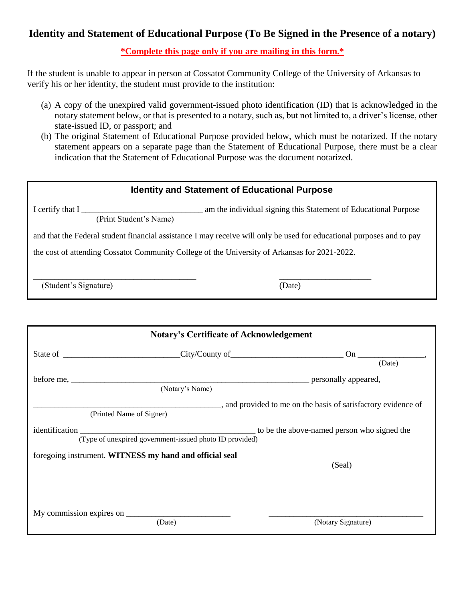## **Identity and Statement of Educational Purpose (To Be Signed in the Presence of a notary)**

**\*Complete this page only if you are mailing in this form.\***

If the student is unable to appear in person at Cossatot Community College of the University of Arkansas to verify his or her identity, the student must provide to the institution:

- (a) A copy of the unexpired valid government-issued photo identification (ID) that is acknowledged in the notary statement below, or that is presented to a notary, such as, but not limited to, a driver's license, other state-issued ID, or passport; and
- (b) The original Statement of Educational Purpose provided below, which must be notarized. If the notary statement appears on a separate page than the Statement of Educational Purpose, there must be a clear indication that the Statement of Educational Purpose was the document notarized.

| <b>Identity and Statement of Educational Purpose</b>                                                                  |        |  |  |  |
|-----------------------------------------------------------------------------------------------------------------------|--------|--|--|--|
| am the individual signing this Statement of Educational Purpose<br>I certify that I<br>(Print Student's Name)         |        |  |  |  |
| and that the Federal student financial assistance I may receive will only be used for educational purposes and to pay |        |  |  |  |
| the cost of attending Cossatot Community College of the University of Arkansas for 2021-2022.                         |        |  |  |  |
|                                                                                                                       |        |  |  |  |
| (Student's Signature)                                                                                                 | (Date) |  |  |  |
|                                                                                                                       |        |  |  |  |
|                                                                                                                       |        |  |  |  |
| <b>Notary's Certificate of Acknowledgement</b>                                                                        |        |  |  |  |

|                                                         | State of City/County of City/County of                  | On                                                                |
|---------------------------------------------------------|---------------------------------------------------------|-------------------------------------------------------------------|
|                                                         |                                                         | (Date)                                                            |
|                                                         | (Notary's Name)                                         | personally appeared,                                              |
| (Printed Name of Signer)                                |                                                         | ____, and provided to me on the basis of satisfactory evidence of |
| identification                                          | (Type of unexpired government-issued photo ID provided) | to be the above-named person who signed the                       |
| foregoing instrument. WITNESS my hand and official seal |                                                         | (Seal)                                                            |
|                                                         | (Date)                                                  | (Notary Signature)                                                |